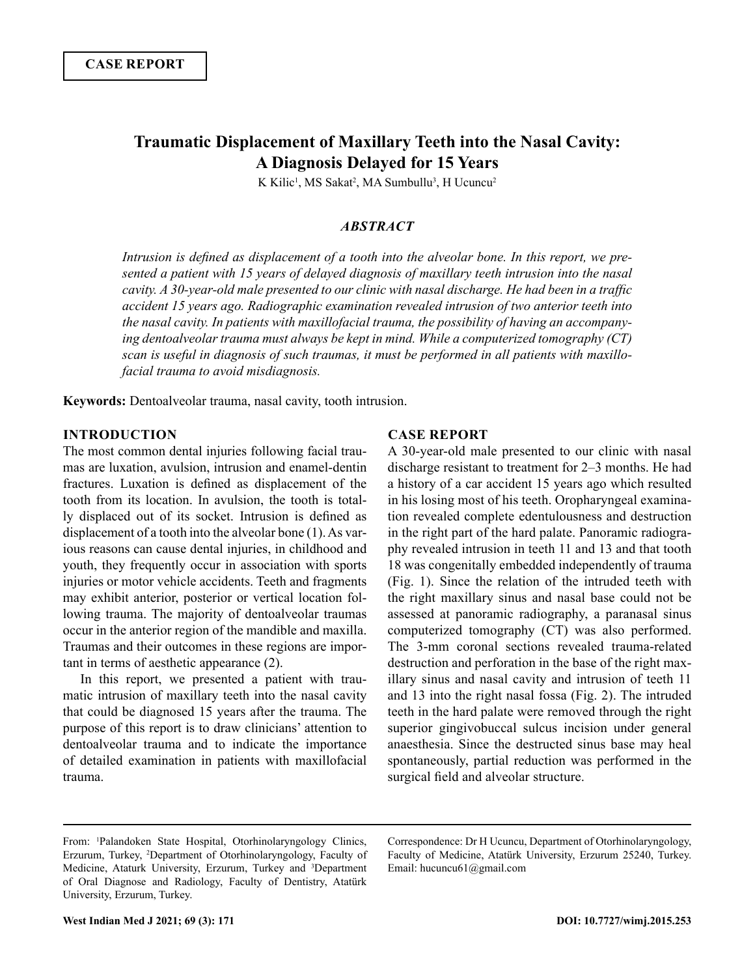# **Traumatic Displacement of Maxillary Teeth into the Nasal Cavity: A Diagnosis Delayed for 15 Years**

K Kilic<sup>1</sup>, MS Sakat<sup>2</sup>, MA Sumbullu<sup>3</sup>, H Ucuncu<sup>2</sup>

### *ABSTRACT*

*Intrusion is defined as displacement of a tooth into the alveolar bone. In this report, we presented a patient with 15 years of delayed diagnosis of maxillary teeth intrusion into the nasal cavity. A 30-year-old male presented to our clinic with nasal discharge. He had been in a traffic accident 15 years ago. Radiographic examination revealed intrusion of two anterior teeth into the nasal cavity. In patients with maxillofacial trauma, the possibility of having an accompanying dentoalveolar trauma must always be kept in mind. While a computerized tomography (CT) scan is useful in diagnosis of such traumas, it must be performed in all patients with maxillofacial trauma to avoid misdiagnosis.*

**Keywords:** Dentoalveolar trauma, nasal cavity, tooth intrusion.

## **INTRODUCTION**

The most common dental injuries following facial traumas are luxation, avulsion, intrusion and enamel-dentin fractures. Luxation is defined as displacement of the tooth from its location. In avulsion, the tooth is totally displaced out of its socket. Intrusion is defined as displacement of a tooth into the alveolar bone (1). As various reasons can cause dental injuries, in childhood and youth, they frequently occur in association with sports injuries or motor vehicle accidents. Teeth and fragments may exhibit anterior, posterior or vertical location following trauma. The majority of dentoalveolar traumas occur in the anterior region of the mandible and maxilla. Traumas and their outcomes in these regions are important in terms of aesthetic appearance (2).

In this report, we presented a patient with traumatic intrusion of maxillary teeth into the nasal cavity that could be diagnosed 15 years after the trauma. The purpose of this report is to draw clinicians' attention to dentoalveolar trauma and to indicate the importance of detailed examination in patients with maxillofacial trauma.

#### **CASE REPORT**

A 30-year-old male presented to our clinic with nasal discharge resistant to treatment for 2–3 months. He had a history of a car accident 15 years ago which resulted in his losing most of his teeth. Oropharyngeal examination revealed complete edentulousness and destruction in the right part of the hard palate. Panoramic radiography revealed intrusion in teeth 11 and 13 and that tooth 18 was congenitally embedded independently of trauma (Fig. 1). Since the relation of the intruded teeth with the right maxillary sinus and nasal base could not be assessed at panoramic radiography, a paranasal sinus computerized tomography (CT) was also performed. The 3-mm coronal sections revealed trauma-related destruction and perforation in the base of the right maxillary sinus and nasal cavity and intrusion of teeth 11 and 13 into the right nasal fossa (Fig. 2). The intruded teeth in the hard palate were removed through the right superior gingivobuccal sulcus incision under general anaesthesia. Since the destructed sinus base may heal spontaneously, partial reduction was performed in the surgical field and alveolar structure.

Correspondence: Dr H Ucuncu, Department of Otorhinolaryngology, Faculty of Medicine, Atatürk University, Erzurum 25240, Turkey. Email: hucuncu61@gmail.com

From: <sup>1</sup> Palandoken State Hospital, Otorhinolaryngology Clinics, Erzurum, Turkey, <sup>2</sup> Department of Otorhinolaryngology, Faculty of Medicine, Ataturk University, Erzurum, Turkey and <sup>3</sup>Department of Oral Diagnose and Radiology, Faculty of Dentistry, Atatürk University, Erzurum, Turkey.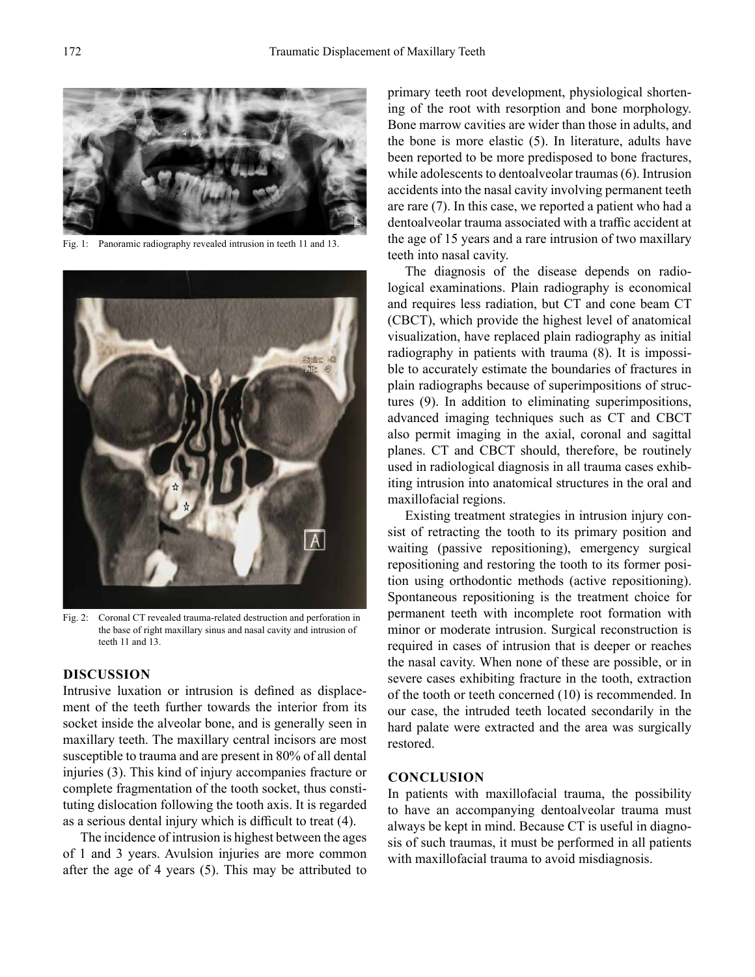

Fig. 1: Panoramic radiography revealed intrusion in teeth 11 and 13.



Fig. 2: Coronal CT revealed trauma-related destruction and perforation in the base of right maxillary sinus and nasal cavity and intrusion of teeth 11 and 13.

#### **DISCUSSION**

Intrusive luxation or intrusion is defined as displacement of the teeth further towards the interior from its socket inside the alveolar bone, and is generally seen in maxillary teeth. The maxillary central incisors are most susceptible to trauma and are present in 80% of all dental injuries (3). This kind of injury accompanies fracture or complete fragmentation of the tooth socket, thus constituting dislocation following the tooth axis. It is regarded as a serious dental injury which is difficult to treat (4).

The incidence of intrusion is highest between the ages of 1 and 3 years. Avulsion injuries are more common after the age of 4 years (5). This may be attributed to primary teeth root development, physiological shortening of the root with resorption and bone morphology. Bone marrow cavities are wider than those in adults, and the bone is more elastic (5). In literature, adults have been reported to be more predisposed to bone fractures, while adolescents to dentoalveolar traumas (6). Intrusion accidents into the nasal cavity involving permanent teeth are rare (7). In this case, we reported a patient who had a dentoalveolar trauma associated with a traffic accident at the age of 15 years and a rare intrusion of two maxillary teeth into nasal cavity.

The diagnosis of the disease depends on radiological examinations. Plain radiography is economical and requires less radiation, but CT and cone beam CT (CBCT), which provide the highest level of anatomical visualization, have replaced plain radiography as initial radiography in patients with trauma (8). It is impossible to accurately estimate the boundaries of fractures in plain radiographs because of superimpositions of structures (9). In addition to eliminating superimpositions, advanced imaging techniques such as CT and CBCT also permit imaging in the axial, coronal and sagittal planes. CT and CBCT should, therefore, be routinely used in radiological diagnosis in all trauma cases exhibiting intrusion into anatomical structures in the oral and maxillofacial regions.

Existing treatment strategies in intrusion injury consist of retracting the tooth to its primary position and waiting (passive repositioning), emergency surgical repositioning and restoring the tooth to its former position using orthodontic methods (active repositioning). Spontaneous repositioning is the treatment choice for permanent teeth with incomplete root formation with minor or moderate intrusion. Surgical reconstruction is required in cases of intrusion that is deeper or reaches the nasal cavity. When none of these are possible, or in severe cases exhibiting fracture in the tooth, extraction of the tooth or teeth concerned (10) is recommended. In our case, the intruded teeth located secondarily in the hard palate were extracted and the area was surgically restored.

#### **CONCLUSION**

In patients with maxillofacial trauma, the possibility to have an accompanying dentoalveolar trauma must always be kept in mind. Because CT is useful in diagnosis of such traumas, it must be performed in all patients with maxillofacial trauma to avoid misdiagnosis.